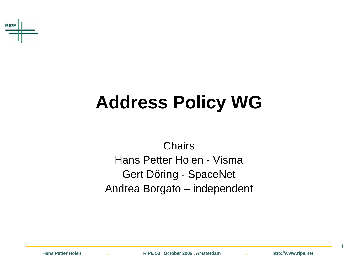

## **Address Policy WG**

**Chairs** Hans Petter Holen - VismaGert Döring - SpaceNet Andrea Borgato – independent

**Hans Petter Holen**

1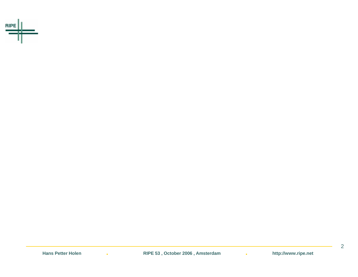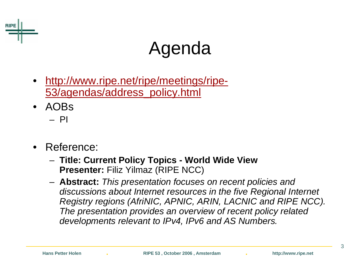

## Agenda

- •[http://www.ripe.net/ripe/meetings/ripe-](http://www.ripe.net/ripe/meetings/ripe-53/agendas/address_policy.html)[53/agendas/address\\_policy.html](http://www.ripe.net/ripe/meetings/ripe-53/agendas/address_policy.html)
- •AOBs

– PI

- Reference:
	- **Title: Current Policy Topics - World Wide View Presenter:** Filiz Yilmaz (RIPE NCC)
	- **Abstract:** *This presentation focuses on recent policies and discussions about Internet resources in the five Regional Internet Registry regions (AfriNIC, APNIC, ARIN, LACNIC and RIPE NCC). The presentation provides an overview of recent policy related developments relevant to IPv4, IPv6 and AS Numbers.*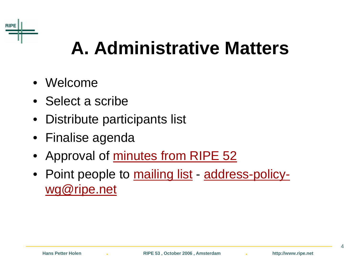

## **A. Administrative Matters**

- Welcome
- Select a scribe
- Distribute participants list
- Finalise agenda
- Approval of <u>minutes from RIPE 52</u>
- Point people to [mailing list](http://www.ripe.net/mailman/listinfo/address-policy-wg) [address-policy](mailto:address-policy-wg@ripe.net)[wg@ripe.net](mailto:address-policy-wg@ripe.net)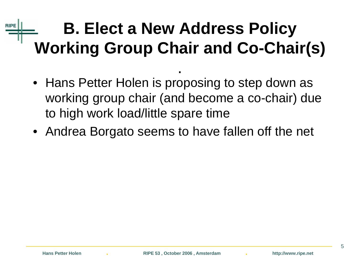#### **B. Elect a New Address Policy RIPE Working Group Chair and Co-Chair(s)**

• Hans Petter Holen is proposing to step down as working group chair (and become a co-chair) due to high work load/little spare time

.

• Andrea Borgato seems to have fallen off the net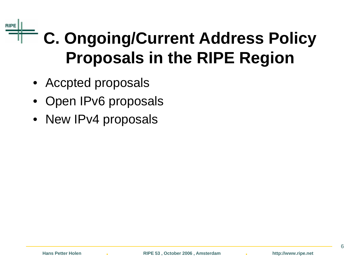## **C. Ongoing/Current Address Policy Proposals in the RIPE Region**

• Accpted proposals

**RIPE** 

- •Open IPv6 proposals
- New IPv4 proposals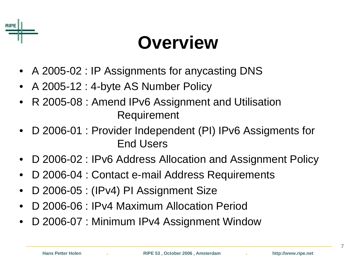

## **Overview**

- $\bullet$ A 2005-02 : IP Assignments for anycasting DNS
- •A 2005-12 : 4-byte AS Number Policy
- • R 2005-08 : Amend IPv6 Assignment and Utilisation Requirement
- D 2006-01 : Provider Independent (PI) IPv6 Assigments for End Users
- •D 2006-02 : IPv6 Address Allocation and Assignment Policy
- $\bullet$ D 2006-04 : Contact e-mail Address Requirements
- •D 2006-05 : (IPv4) PI Assignment Size
- •D 2006-06 : IPv4 Maximum Allocation Period
- •D 2006-07 : Minimum IPv4 Assignment Window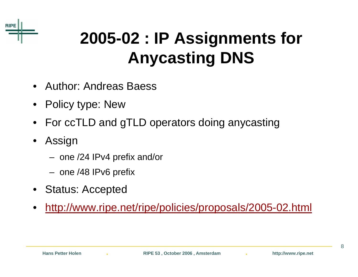

### **2005-02 : IP Assignments for Anycasting DNS**

- Author: Andreas Baess
- •Policy type: New
- •For ccTLD and gTLD operators doing anycasting
- • Assign
	- one /24 IPv4 prefix and/or
	- one /48 IPv6 prefix
- Status: Accepted
- •<http://www.ripe.net/ripe/policies/proposals/2005-02.html>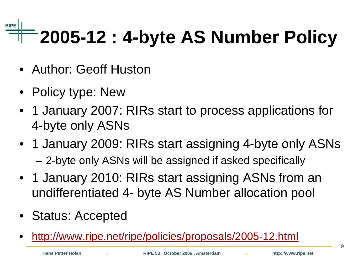#### **RIPE 2005-12 : 4-byte AS Number Policy**

- Author: Geoff Huston
- Policy type: New
- 1 January 2007: RIRs start to process applications for 4-byte only ASNs
- 1 January 2009: RIRs start assigning 4-byte only ASNs –2-byte only ASNs will be assigned if asked specifically
- 1 January 2010: RIRs start assigning ASNs from an undifferentiated 4- byte AS Number allocation pool
- Status: Accepted
- •<http://www.ripe.net/ripe/policies/proposals/2005-12.html>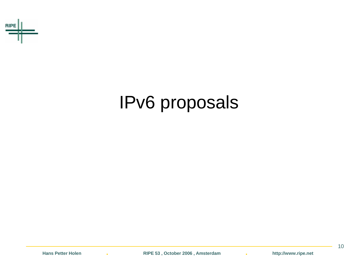

## IPv6 proposals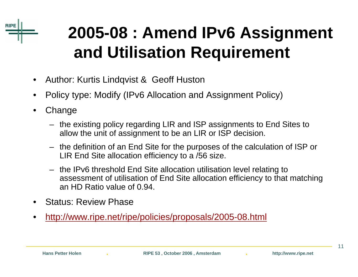

### **2005-08 : Amend IPv6 Assignment and Utilisation Requirement**

- •Author: Kurtis Lindqvist & Geoff Huston
- •Policy type: Modify (IPv6 Allocation and Assignment Policy)
- •**Change** 
	- the existing policy regarding LIR and ISP assignments to End Sites to allow the unit of assignment to be an LIR or ISP decision.
	- the definition of an End Site for the purposes of the calculation of ISP or LIR End Site allocation efficiency to a /56 size.
	- the IPv6 threshold End Site allocation utilisation level relating to assessment of utilisation of End Site allocation efficiency to that matching an HD Ratio value of 0.94.
- •Status: Review Phase
- •<http://www.ripe.net/ripe/policies/proposals/2005-08.html>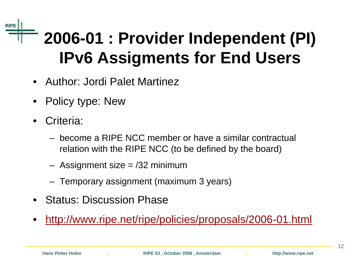### **RIPE 2006-01 : Provider Independent (PI) IPv6 Assigments for End Users**

- Author: Jordi Palet Martinez
- •Policy type: New
- • Criteria:
	- become a RIPE NCC member or have a similar contractual relation with the RIPE NCC (to be defined by the board)
	- Assignment size = /32 minimum
	- Temporary assignment (maximum 3 years)
- •Status: Discussion Phase
- •<http://www.ripe.net/ripe/policies/proposals/2006-01.html>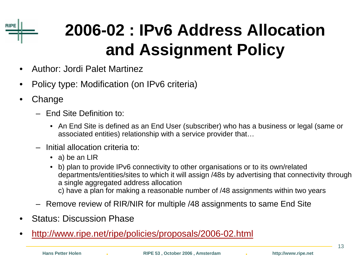

### **2006-02 : IPv6 Address Allocation and Assignment Policy**

- •Author: Jordi Palet Martinez
- •Policy type: Modification (on IPv6 criteria)
- • Change
	- End Site Definition to:
		- An End Site is defined as an End User (subscriber) who has a business or legal (same or associated entities) relationship with a service provider that…
	- Initial allocation criteria to:
		- a) be an LIR
		- b) plan to provide IPv6 connectivity to other organisations or to its own/related departments/entities/sites to which it will assign /48s by advertising that connectivity through a single aggregated address allocation c) have a plan for making a reasonable number of /48 assignments within two years
	- Remove review of RIR/NIR for multiple /48 assignments to same End Site
- •Status: Discussion Phase
- •<http://www.ripe.net/ripe/policies/proposals/2006-02.html>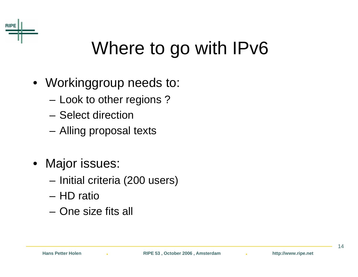

# Where to go with IPv6

- Workinggroup needs to:
	- –Look to other regions ?
	- Select direction
	- –Alling proposal texts
- Major issues:
	- –Initial criteria (200 users)
	- HD ratio
	- One size fits all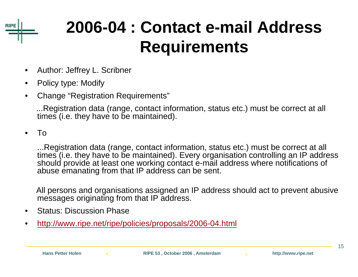

### **2006-04 : Contact e-mail Address Requirements**

- •Author: Jeffrey L. Scribner
- •Policy type: Modify
- •Change "Registration Requirements"

...Registration data (range, contact information, status etc.) must be correct at all times (i.e. they have to be maintained).

•To

> ...Registration data (range, contact information, status etc.) must be correct at all times (i.e. they have to be maintained). Every organisation controlling an IP address should provide at least one working contact e-mail address where notifications of abuse emanating from that IP address can be sent.

> All persons and organisations assigned an IP address should act to prevent abusive messages originating from that IP address.

- •Status: Discussion Phase
- •<http://www.ripe.net/ripe/policies/proposals/2006-04.html>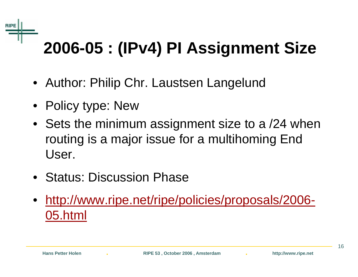## **2006-05 : (IPv4) PI Assignment Size**

- Author: Philip Chr. Laustsen Langelund
- Policy type: New

**RIPE** 

- Sets the minimum assignment size to a /24 when routing is a major issue for a multihoming End User.
- Status: Discussion Phase
- [http://www.ripe.net/ripe/policies/proposals/2006-](http://www.ripe.net/ripe/policies/proposals/2006-05.html) [05.html](http://www.ripe.net/ripe/policies/proposals/2006-05.html)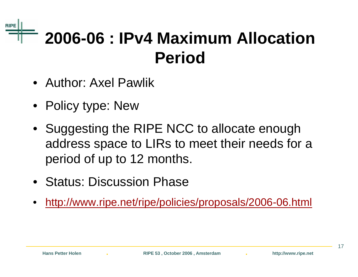## **2006-06 : IPv4 Maximum Allocation Period**

- Author: Axel Pawlik
- Policy type: New

**RIPE** 

- Suggesting the RIPE NCC to allocate enough address space to LIRs to meet their needs for a period of up to 12 months.
- Status: Discussion Phase
- •<http://www.ripe.net/ripe/policies/proposals/2006-06.html>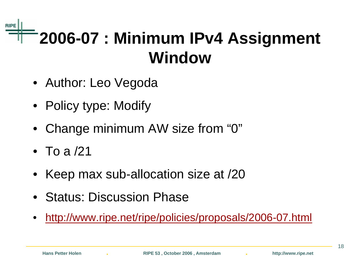### **RIPE 2006-07 : Minimum IPv4 Assignment Window**

- Author: Leo Vegoda
- Policy type: Modify
- Change minimum AW size from "0"
- To a /21
- Keep max sub-allocation size at /20
- Status: Discussion Phase
- •<http://www.ripe.net/ripe/policies/proposals/2006-07.html>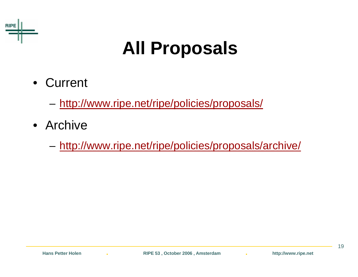

# **All Proposals**

- Current
	- <http://www.ripe.net/ripe/policies/proposals/>
- Archive
	- <http://www.ripe.net/ripe/policies/proposals/archive/>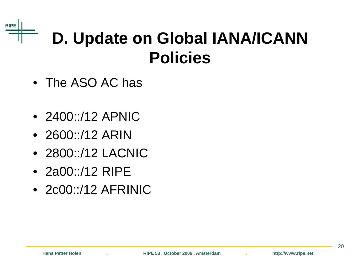### **D. Update on Global IANA/ICANN Policies**

• The ASO AC has

**RIPE** 

- 2400::/12 APNIC
- 2600::/12 ARIN
- 2800::/12 LACNIC
- 2a00::/12 RIPE
- 2c00::/12 AFRINIC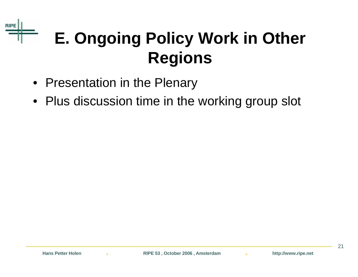

• Presentation in the Plenary

**RIPE** 

• Plus discussion time in the working group slot